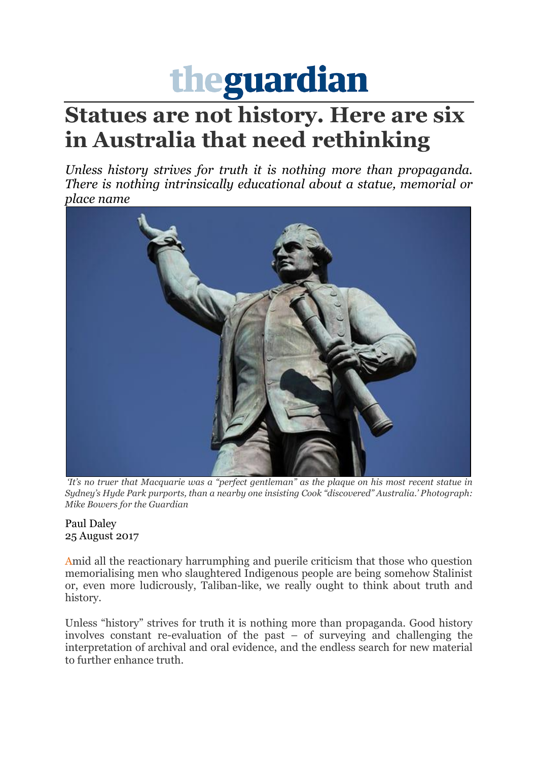# theguardian

# **Statues are not history. Here are six in Australia that need rethinking**

*Unless history strives for truth it is nothing more than propaganda. There is nothing intrinsically educational about a statue, memorial or place name*



*'It's no truer that Macquarie was a "perfect gentleman" as the plaque on his most recent statue in Sydney's Hyde Park purports, than a nearby one insisting Cook "discovered" Australia.' Photograph: Mike Bowers for the Guardian*

# [Paul Daley](https://www.theguardian.com/profile/paul-daley) 25 August 2017

Amid all the reactionary harrumphing and puerile criticism that those who question memorialising men who slaughtered Indigenous people are being somehow Stalinist or, even more ludicrously, Taliban-like, we really ought to think about truth and history.

Unless "history" strives for truth it is nothing more than propaganda. Good history involves constant re-evaluation of the past – of surveying and challenging the interpretation of archival and oral evidence, and the endless search for new material to further enhance truth.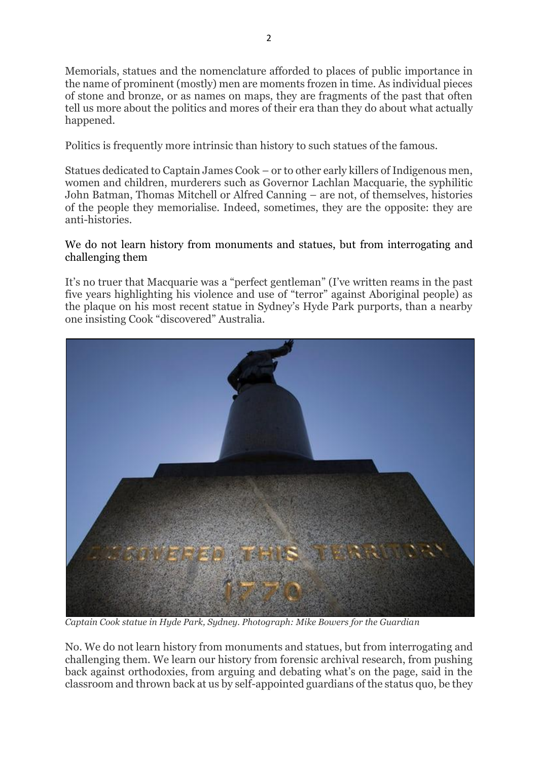Memorials, statues and the nomenclature afforded to places of public importance in the name of prominent (mostly) men are moments frozen in time. As individual pieces of stone and bronze, or as names on maps, they are fragments of the past that often tell us more about the politics and mores of their era than they do about what actually happened.

Politics is frequently more intrinsic than history to such statues of the famous.

Statues dedicated to Captain James Cook – or to other early killers of Indigenous men, women and children, murderers such as Governor Lachlan Macquarie, the syphilitic John Batman, Thomas Mitchell or Alfred Canning – are not, of themselves, histories of the people they memorialise. Indeed, sometimes, they are the opposite: they are anti-histories.

#### We do not learn history from monuments and statues, but from interrogating and challenging them

It's no truer that Macquarie was a "perfect gentleman" (I've written reams in the past five years highlighting his violence and use of "terror" against Aboriginal people) as the plaque on his most recent statue in Sydney's Hyde Park purports, than a nearby one insisting Cook "discovered" Australia.



*Captain Cook statue in Hyde Park, Sydney. Photograph: Mike Bowers for the Guardian*

No. We do not learn history from monuments and statues, but from interrogating and challenging them. We learn our history from forensic archival research, from pushing back against orthodoxies, from arguing and debating what's on the page, said in the classroom and thrown back at us by self-appointed guardians of the status quo, be they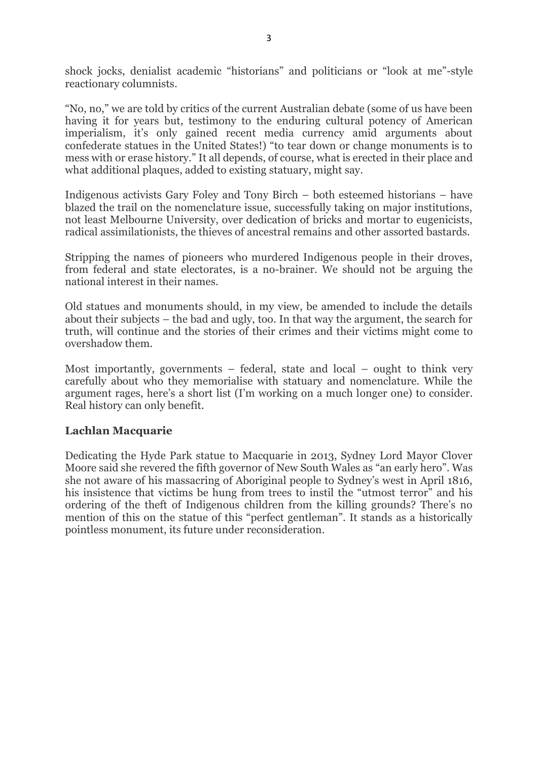shock jocks, denialist academic "historians" and politicians or "look at me"-style reactionary columnists.

"No, no," we are told by critics of the current Australian debate (some of us have been having it for years but, testimony to the enduring cultural potency of American imperialism, it's only gained recent media currency amid arguments about confederate statues in the United States!) "to tear down or change monuments is to mess with or erase history." It all depends, of course, what is erected in their place and what additional plaques, added to existing statuary, might say.

Indigenous activists Gary Foley and Tony Birch – both esteemed historians – have blazed the trail on the nomenclature issue, successfully taking on major institutions, not least Melbourne University, over dedication of bricks and mortar to eugenicists, radical assimilationists, the thieves of ancestral remains and other assorted bastards.

Stripping the names of pioneers who murdered Indigenous people in their droves, from federal and state electorates, is a no-brainer. We should not be arguing the national interest in their names.

Old statues and monuments should, in my view, be amended to include the details about their subjects – the bad and ugly, too. In that way the argument, the search for truth, will continue and the stories of their crimes and their victims might come to overshadow them.

Most importantly, governments – federal, state and local – ought to think very carefully about who they memorialise with statuary and nomenclature. While the argument rages, here's a short list (I'm working on a much longer one) to consider. Real history can only benefit.

#### **Lachlan Macquarie**

Dedicating the Hyde Park statue to Macquarie in 2013, Sydney Lord Mayor Clover Moore said she revered the fifth governor of New South Wales as "an early hero". Was she not aware of his massacring of Aboriginal people to Sydney's west in April 1816, his insistence that victims be hung from trees to instil the "utmost terror" and his ordering of the theft of Indigenous children from the killing grounds? There's no mention of this on the statue of this "perfect gentleman". It stands as a historically pointless monument, its future under reconsideration.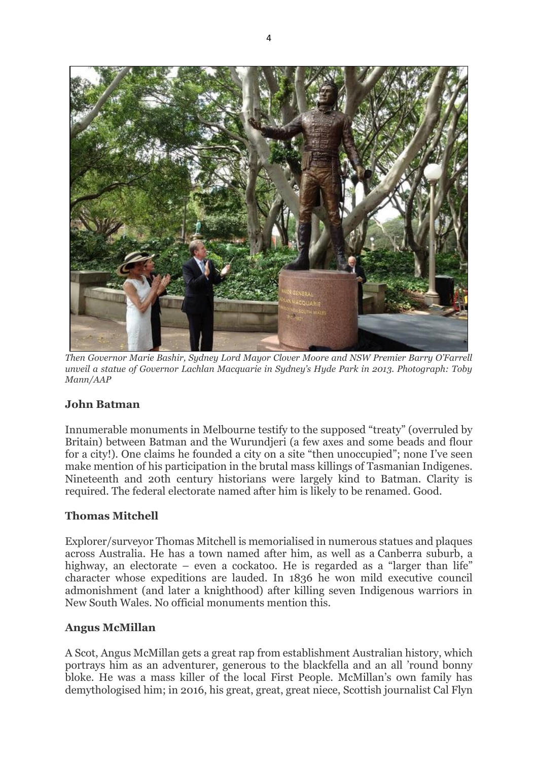

*Then Governor Marie Bashir, Sydney Lord Mayor Clover Moore and NSW Premier Barry O'Farrell unveil a statue of Governor Lachlan Macquarie in Sydney's Hyde Park in 2013. Photograph: Toby Mann/AAP*

## **John Batman**

Innumerable monuments in Melbourne testify to the supposed "treaty" (overruled by Britain) between Batman and the Wurundjeri (a few axes and some beads and flour for a city!). One claims he founded a city on a site "then unoccupied"; none I've seen make mention of his participation in the brutal mass killings of Tasmanian Indigenes. Nineteenth and 20th century historians were largely kind to Batman. Clarity is required. The federal electorate named after him is likely to be renamed. Good.

#### **Thomas Mitchell**

Explorer/surveyor Thomas Mitchell is memorialised in numerous statues and plaques across Australia. He has a town named after him, as well as a Canberra suburb, a highway, an electorate – even a cockatoo. He is regarded as a "larger than life" character whose expeditions are lauded. In 1836 he won mild executive council admonishment (and later a knighthood) after killing seven Indigenous warriors in New South Wales. No official monuments mention this.

#### **Angus McMillan**

A Scot, Angus McMillan gets a great rap from establishment Australian history, which portrays him as an adventurer, generous to the blackfella and an all 'round bonny bloke. He was a mass killer of the local First People. McMillan's own family has demythologised him; in 2016, his great, great, great niece, Scottish journalist Cal Flyn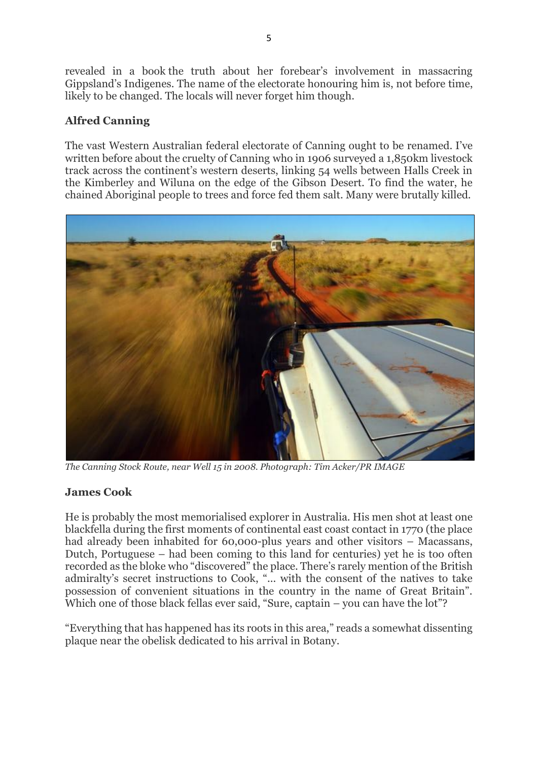revealed in a book the truth about her forebear's involvement in massacring Gippsland's Indigenes. The name of the electorate honouring him is, not before time, likely to be changed. The locals will never forget him though.

# **Alfred Canning**

The vast Western Australian federal electorate of Canning ought to be renamed. I've written before about the cruelty of Canning who in 1906 surveyed a 1,850km livestock track across the continent's western deserts, linking 54 wells between Halls Creek in the Kimberley and Wiluna on the edge of the Gibson Desert. To find the water, he chained Aboriginal people to trees and force fed them salt. Many were brutally killed.



*The Canning Stock Route, near Well 15 in 2008. Photograph: Tim Acker/PR IMAGE*

## **James Cook**

He is probably the most memorialised explorer in Australia. His men shot at least one blackfella during the first moments of continental east coast contact in 1770 (the place had already been inhabited for 60,000-plus years and other visitors – Macassans, Dutch, Portuguese – had been coming to this land for centuries) yet he is too often recorded as the bloke who "discovered" the place. There's rarely mention of the British admiralty's secret instructions to Cook, "... with the consent of the natives to take possession of convenient situations in the country in the name of Great Britain". Which one of those black fellas ever said, "Sure, captain – you can have the lot"?

"Everything that has happened has its roots in this area," reads a somewhat dissenting plaque near the obelisk dedicated to his arrival in Botany.